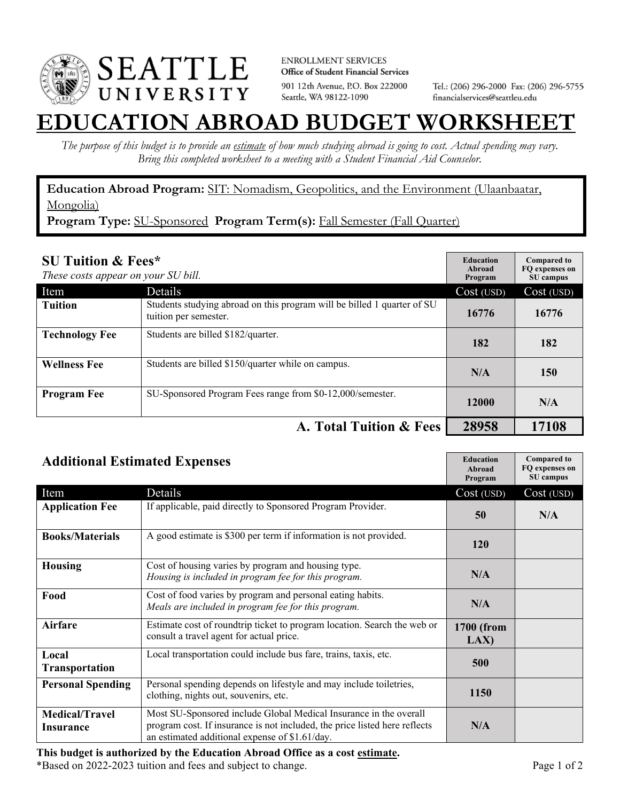

**ENROLLMENT SERVICES** Office of Student Financial Services 901 12th Avenue, P.O. Box 222000 Seattle, WA 98122-1090

Tel.: (206) 296-2000 Fax: (206) 296-5755 financialservices@seattleu.edu

## **EATION ABROAD BUDGET WORKSHEI**

*The purpose of this budget is to provide an estimate of how much studying abroad is going to cost. Actual spending may vary. Bring this completed worksheet to a meeting with a Student Financial Aid Counselor.* 

**Education Abroad Program:** SIT: Nomadism, Geopolitics, and the Environment (Ulaanbaatar, Mongolia)

Program Type: SU-Sponsored Program Term(s): Fall Semester (Fall Quarter)

| <b>SU Tuition &amp; Fees*</b><br>These costs appear on your SU bill. |                                                                                                  | <b>Education</b><br>Abroad<br>Program | <b>Compared to</b><br>FO expenses on<br>SU campus |
|----------------------------------------------------------------------|--------------------------------------------------------------------------------------------------|---------------------------------------|---------------------------------------------------|
| Item                                                                 | Details                                                                                          | Cost (USD)                            | Cost (USD)                                        |
| <b>Tuition</b>                                                       | Students studying abroad on this program will be billed 1 quarter of SU<br>tuition per semester. | 16776                                 | 16776                                             |
| <b>Technology Fee</b>                                                | Students are billed \$182/quarter.                                                               | 182                                   | 182                                               |
| <b>Wellness Fee</b>                                                  | Students are billed \$150/quarter while on campus.                                               | N/A                                   | 150                                               |
| <b>Program Fee</b>                                                   | SU-Sponsored Program Fees range from \$0-12,000/semester.                                        | 12000                                 | N/A                                               |
|                                                                      | A. Total Tuition & Fees                                                                          | 28958                                 | 17108                                             |

| <b>Additional Estimated Expenses</b>      |                                                                                                                                                                                                   | <b>Education</b><br>Abroad<br>Program | <b>Compared to</b><br>FQ expenses on<br>SU campus |
|-------------------------------------------|---------------------------------------------------------------------------------------------------------------------------------------------------------------------------------------------------|---------------------------------------|---------------------------------------------------|
| Item                                      | Details                                                                                                                                                                                           | Cost (USD)                            | Cost (USD)                                        |
| <b>Application Fee</b>                    | If applicable, paid directly to Sponsored Program Provider.                                                                                                                                       | 50                                    | N/A                                               |
| <b>Books/Materials</b>                    | A good estimate is \$300 per term if information is not provided.                                                                                                                                 | <b>120</b>                            |                                                   |
| <b>Housing</b>                            | Cost of housing varies by program and housing type.<br>Housing is included in program fee for this program.                                                                                       | N/A                                   |                                                   |
| Food                                      | Cost of food varies by program and personal eating habits.<br>Meals are included in program fee for this program.                                                                                 | N/A                                   |                                                   |
| Airfare                                   | Estimate cost of roundtrip ticket to program location. Search the web or<br>consult a travel agent for actual price.                                                                              | 1700 (from<br>LAX                     |                                                   |
| Local<br>Transportation                   | Local transportation could include bus fare, trains, taxis, etc.                                                                                                                                  | 500                                   |                                                   |
| <b>Personal Spending</b>                  | Personal spending depends on lifestyle and may include toiletries,<br>clothing, nights out, souvenirs, etc.                                                                                       | 1150                                  |                                                   |
| <b>Medical/Travel</b><br><b>Insurance</b> | Most SU-Sponsored include Global Medical Insurance in the overall<br>program cost. If insurance is not included, the price listed here reflects<br>an estimated additional expense of \$1.61/day. | N/A                                   |                                                   |